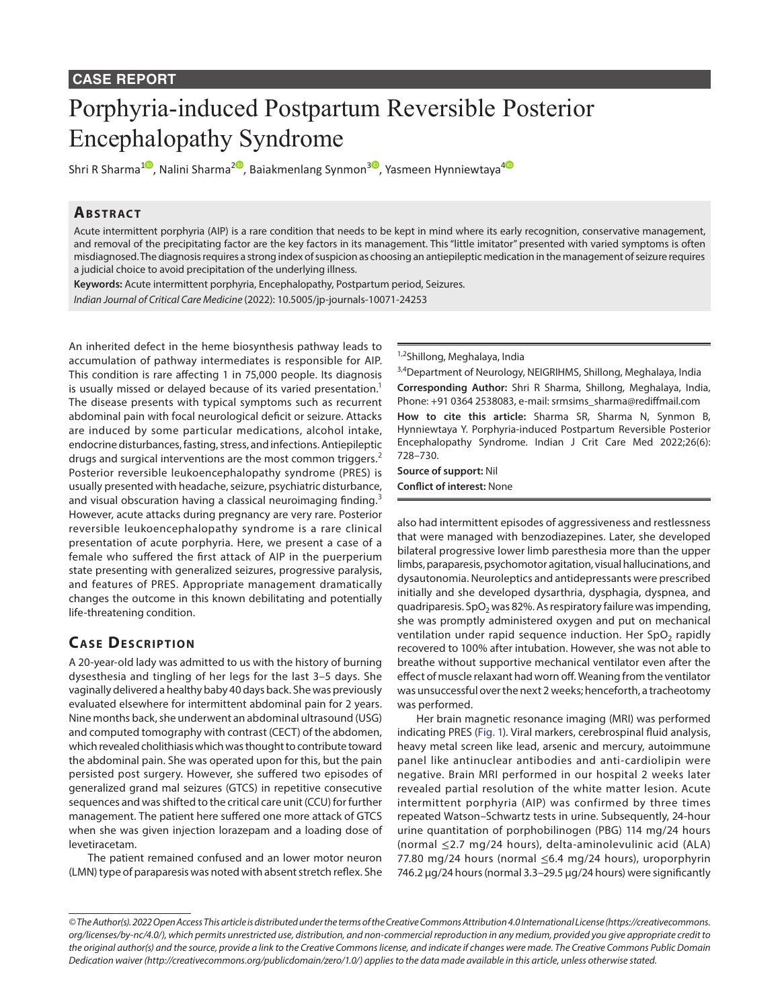#### **CASE REPORT**

# Porphyria-induced Postpartum Reversible Posterior Encephalopathy Syndrome

Shri R Sharma<sup>[1](https://orcid.org/0000-0003-1359-4891)0</sup>, Nalini Sharma<sup>[2](https://orcid.org/0000-0001-5462-3017)0</sup>[,](https://orcid.org/0000-0001-9261-9932) Baiakmenlang Synmon<sup>30</sup>, Yasmeen Hynniewtaya<sup>[4](https://orcid.org/0000-0003-0430-4987)0</sup>

#### **Ab s t rac t**

Acute intermittent porphyria (AIP) is a rare condition that needs to be kept in mind where its early recognition, conservative management, and removal of the precipitating factor are the key factors in its management. This "little imitator" presented with varied symptoms is often misdiagnosed. The diagnosis requires a strong index of suspicion as choosing an antiepileptic medication in the management of seizure requires a judicial choice to avoid precipitation of the underlying illness.

**Keywords:** Acute intermittent porphyria, Encephalopathy, Postpartum period, Seizures.

*Indian Journal of Critical Care Medicine* (2022): 10.5005/jp-journals-10071-24253

An inherited defect in the heme biosynthesis pathway leads to accumulation of pathway intermediates is responsible for AIP. This condition is rare affecting 1 in 75,000 people. Its diagnosis is usually missed or delayed because of its varied presentation.<sup>1</sup> The disease presents with typical symptoms such as recurrent abdominal pain with focal neurological deficit or seizure. Attacks are induced by some particular medications, alcohol intake, endocrine disturbances, fasting, stress, and infections. Antiepileptic drugs and surgical interventions are the most common triggers.<sup>[2](#page-2-1)</sup> Posterior reversible leukoencephalopathy syndrome (PRES) is usually presented with headache, seizure, psychiatric disturbance, and visual obscuration having a classical neuroimaging finding.<sup>[3](#page-2-2)</sup> However, acute attacks during pregnancy are very rare. Posterior reversible leukoencephalopathy syndrome is a rare clinical presentation of acute porphyria. Here, we present a case of a female who suffered the first attack of AIP in the puerperium state presenting with generalized seizures, progressive paralysis, and features of PRES. Appropriate management dramatically changes the outcome in this known debilitating and potentially life-threatening condition.

## **CASE DESCRIPTION**

A 20-year-old lady was admitted to us with the history of burning dysesthesia and tingling of her legs for the last 3–5 days. She vaginally delivered a healthy baby 40 days back. She was previously evaluated elsewhere for intermittent abdominal pain for 2 years. Nine months back, she underwent an abdominal ultrasound (USG) and computed tomography with contrast (CECT) of the abdomen, which revealed cholithiasis which was thought to contribute toward the abdominal pain. She was operated upon for this, but the pain persisted post surgery. However, she suffered two episodes of generalized grand mal seizures (GTCS) in repetitive consecutive sequences and was shifted to the critical care unit (CCU) for further management. The patient here suffered one more attack of GTCS when she was given injection lorazepam and a loading dose of levetiracetam.

The patient remained confused and an lower motor neuron (LMN) type of paraparesis was noted with absent stretch reflex. She 1,2Shillong, Meghalaya, India

<sup>3,4</sup>Department of Neurology, NEIGRIHMS, Shillong, Meghalaya, India **Corresponding Author:** Shri R Sharma, Shillong, Meghalaya, India, Phone: +91 0364 2538083, e-mail: srmsims\_sharma@rediffmail.com **How to cite this article:** Sharma SR, Sharma N, Synmon B, Hynniewtaya Y. Porphyria-induced Postpartum Reversible Posterior Encephalopathy Syndrome. Indian J Crit Care Med 2022;26(6): 728–730.

**Source of support:** Nil **Conflict of interest:** None

also had intermittent episodes of aggressiveness and restlessness that were managed with benzodiazepines. Later, she developed bilateral progressive lower limb paresthesia more than the upper limbs, paraparesis, psychomotor agitation, visual hallucinations, and dysautonomia. Neuroleptics and antidepressants were prescribed initially and she developed dysarthria, dysphagia, dyspnea, and quadriparesis. SpO<sub>2</sub> was 82%. As respiratory failure was impending, she was promptly administered oxygen and put on mechanical ventilation under rapid sequence induction. Her SpO<sub>2</sub> rapidly recovered to 100% after intubation. However, she was not able to breathe without supportive mechanical ventilator even after the effect of muscle relaxant had worn off. Weaning from the ventilator was unsuccessful over the next 2 weeks; henceforth, a tracheotomy was performed.

Her brain magnetic resonance imaging (MRI) was performed indicating PRES [\(Fig. 1\)](#page-1-0). Viral markers, cerebrospinal fluid analysis, heavy metal screen like lead, arsenic and mercury, autoimmune panel like antinuclear antibodies and anti-cardiolipin were negative. Brain MRI performed in our hospital 2 weeks later revealed partial resolution of the white matter lesion. Acute intermittent porphyria (AIP) was confirmed by three times repeated Watson–Schwartz tests in urine. Subsequently, 24-hour urine quantitation of porphobilinogen (PBG) 114 mg/24 hours (normal ≤2.7 mg/24 hours), delta-aminolevulinic acid (ALA) 77.80 mg/24 hours (normal ≤6.4 mg/24 hours), uroporphyrin 746.2 μg/24 hours (normal 3.3–29.5 μg/24 hours) were significantly

*<sup>©</sup> The Author(s). 2022 Open Access This article is distributed under the terms of the Creative Commons Attribution 4.0 International License ([https://creativecommons.](https://creativecommons.org/licenses/by-nc/4.0/) [org/licenses/by-nc/4.0/](https://creativecommons.org/licenses/by-nc/4.0/)), which permits unrestricted use, distribution, and non-commercial reproduction in any medium, provided you give appropriate credit to the original author(s) and the source, provide a link to the Creative Commons license, and indicate if changes were made. The Creative Commons Public Domain Dedication waiver ([http://creativecommons.org/publicdomain/zero/1.0/\)](http://creativecommons.org/publicdomain/zero/1.0/) applies to the data made available in this article, unless otherwise stated.*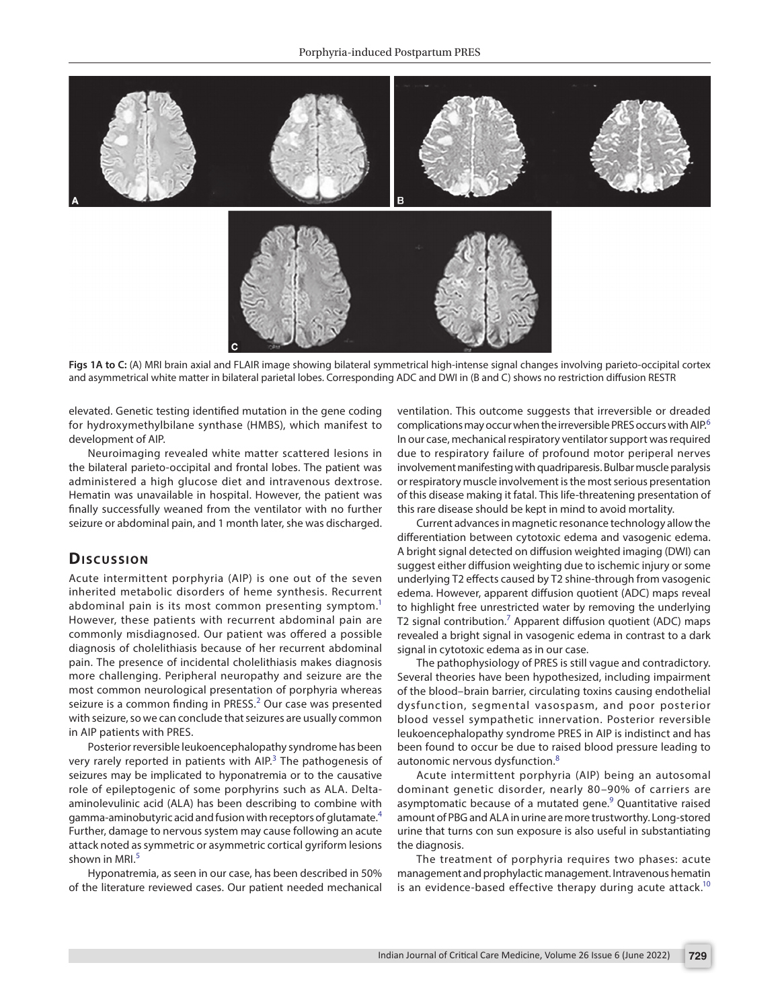

<span id="page-1-0"></span>**Figs 1A to C:** (A) MRI brain axial and FLAIR image showing bilateral symmetrical high-intense signal changes involving parieto-occipital cortex and asymmetrical white matter in bilateral parietal lobes. Corresponding ADC and DWI in (B and C) shows no restriction diffusion RESTR

elevated. Genetic testing identified mutation in the gene coding for hydroxymethylbilane synthase (HMBS), which manifest to development of AIP.

Neuroimaging revealed white matter scattered lesions in the bilateral parieto-occipital and frontal lobes. The patient was administered a high glucose diet and intravenous dextrose. Hematin was unavailable in hospital. However, the patient was finally successfully weaned from the ventilator with no further seizure or abdominal pain, and 1 month later, she was discharged.

## Discussion

Acute intermittent porphyria (AIP) is one out of the seven inherited metabolic disorders of heme synthesis. Recurrent abdominal pain is its most common presenting symptom.<sup>[1](#page-2-0)</sup> However, these patients with recurrent abdominal pain are commonly misdiagnosed. Our patient was offered a possible diagnosis of cholelithiasis because of her recurrent abdominal pain. The presence of incidental cholelithiasis makes diagnosis more challenging. Peripheral neuropathy and seizure are the most common neurological presentation of porphyria whereas seizure is a common finding in PRESS.<sup>[2](#page-2-1)</sup> Our case was presented with seizure, so we can conclude that seizures are usually common in AIP patients with PRES.

Posterior reversible leukoencephalopathy syndrome has been very rarely reported in patients with AIP.<sup>[3](#page-2-2)</sup> The pathogenesis of seizures may be implicated to hyponatremia or to the causative role of epileptogenic of some porphyrins such as ALA. Deltaaminolevulinic acid (ALA) has been describing to combine with gamma-aminobutyric acid and fusion with receptors of glutamate.[4](#page-2-3) Further, damage to nervous system may cause following an acute attack noted as symmetric or asymmetric cortical gyriform lesions shown in MRI $<sup>5</sup>$  $<sup>5</sup>$  $<sup>5</sup>$ </sup>

Hyponatremia, as seen in our case, has been described in 50% of the literature reviewed cases. Our patient needed mechanical

ventilation. This outcome suggests that irreversible or dreaded complications may occur when the irreversible PRES occurs with AIP.[6](#page-2-5) In our case, mechanical respiratory ventilator support was required due to respiratory failure of profound motor periperal nerves involvement manifesting with quadriparesis. Bulbar muscle paralysis or respiratory muscle involvement is the most serious presentation of this disease making it fatal. This life-threatening presentation of this rare disease should be kept in mind to avoid mortality.

Current advances in magnetic resonance technology allow the differentiation between cytotoxic edema and vasogenic edema. A bright signal detected on diffusion weighted imaging (DWI) can suggest either diffusion weighting due to ischemic injury or some underlying T2 effects caused by T2 shine-through from vasogenic edema. However, apparent diffusion quotient (ADC) maps reveal to highlight free unrestricted water by removing the underlying T2 signal contribution.<sup>[7](#page-2-6)</sup> Apparent diffusion quotient (ADC) maps revealed a bright signal in vasogenic edema in contrast to a dark signal in cytotoxic edema as in our case.

The pathophysiology of PRES is still vague and contradictory. Several theories have been hypothesized, including impairment of the blood–brain barrier, circulating toxins causing endothelial dysfunction, segmental vasospasm, and poor posterior blood vessel sympathetic innervation. Posterior reversible leukoencephalopathy syndrome PRES in AIP is indistinct and has been found to occur be due to raised blood pressure leading to autonomic nervous dysfunction.<sup>[8](#page-2-7)</sup>

Acute intermittent porphyria (AIP) being an autosomal dominant genetic disorder, nearly 80–90% of carriers are asymptomatic because of a mutated gene.<sup>[9](#page-2-8)</sup> Quantitative raised amount of PBG and ALA in urine are more trustworthy. Long-stored urine that turns con sun exposure is also useful in substantiating the diagnosis.

The treatment of porphyria requires two phases: acute management and prophylactic management. Intravenous hematin is an evidence-based effective therapy during acute attack.<sup>[10](#page-2-9)</sup>